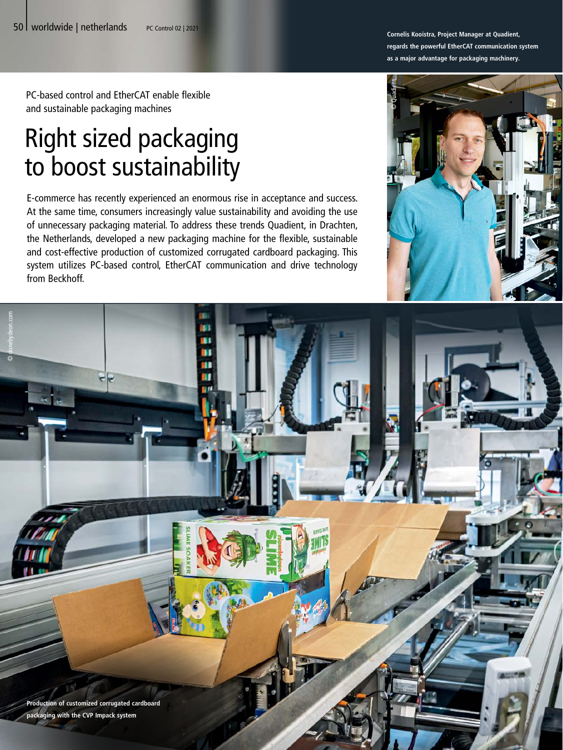PC-based control and EtherCAT enable flexible and sustainable packaging machines

# Right sized packaging to boost sustainability

E-commerce has recently experienced an enormous rise in acceptance and success. At the same time, consumers increasingly value sustainability and avoiding the use of unnecessary packaging material. To address these trends Quadient, in Drachten, the Netherlands, developed a new packaging machine for the flexible, sustainable and cost-effective production of customized corrugated cardboard packaging. This system utilizes PC-based control, EtherCAT communication and drive technology from Beckhoff.

**Cornelis Kooistra, Project Manager at Quadient, regards the powerful EtherCAT communication system as a major advantage for packaging machinery.**